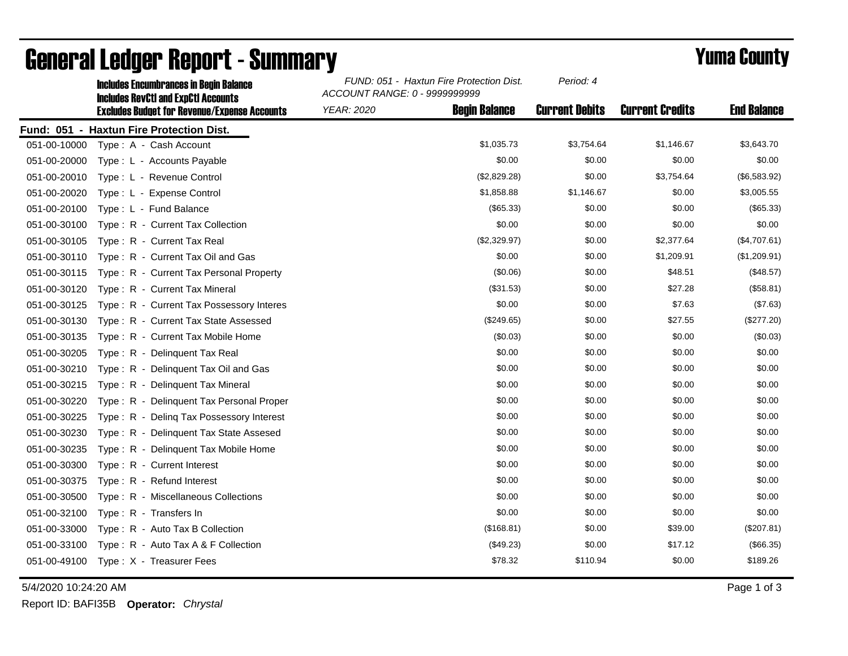|              | <b>Includes Encumbrances in Begin Balance</b><br><b>Includes RevCtI and ExpCtI Accounts</b> | FUND: 051 - Haxtun Fire Protection Dist.<br>ACCOUNT RANGE: 0 - 9999999999 |                      | Period: 4             |                        |                    |
|--------------|---------------------------------------------------------------------------------------------|---------------------------------------------------------------------------|----------------------|-----------------------|------------------------|--------------------|
|              | <b>Excludes Budget for Revenue/Expense Accounts</b>                                         | <b>YEAR: 2020</b>                                                         | <b>Begin Balance</b> | <b>Current Debits</b> | <b>Current Credits</b> | <b>End Balance</b> |
|              | Fund: 051 - Haxtun Fire Protection Dist.                                                    |                                                                           |                      |                       |                        |                    |
| 051-00-10000 | Type: A - Cash Account                                                                      |                                                                           | \$1,035.73           | \$3,754.64            | \$1,146.67             | \$3,643.70         |
| 051-00-20000 | Type: L - Accounts Payable                                                                  |                                                                           | \$0.00               | \$0.00                | \$0.00                 | \$0.00             |
| 051-00-20010 | Type: L - Revenue Control                                                                   |                                                                           | (\$2,829.28)         | \$0.00                | \$3,754.64             | (\$6,583.92)       |
| 051-00-20020 | Type: L - Expense Control                                                                   |                                                                           | \$1,858.88           | \$1,146.67            | \$0.00                 | \$3,005.55         |
| 051-00-20100 | Type: L - Fund Balance                                                                      |                                                                           | (\$65.33)            | \$0.00                | \$0.00                 | (\$65.33)          |
| 051-00-30100 | Type: R - Current Tax Collection                                                            |                                                                           | \$0.00               | \$0.00                | \$0.00                 | \$0.00             |
| 051-00-30105 | Type: R - Current Tax Real                                                                  |                                                                           | (\$2,329.97)         | \$0.00                | \$2,377.64             | (\$4,707.61)       |
| 051-00-30110 | Type: R - Current Tax Oil and Gas                                                           |                                                                           | \$0.00               | \$0.00                | \$1,209.91             | (\$1,209.91)       |
| 051-00-30115 | Type: R - Current Tax Personal Property                                                     |                                                                           | (\$0.06)             | \$0.00                | \$48.51                | (\$48.57)          |
| 051-00-30120 | Type: R - Current Tax Mineral                                                               |                                                                           | (\$31.53)            | \$0.00                | \$27.28                | (\$58.81)          |
| 051-00-30125 | Type: R - Current Tax Possessory Interes                                                    |                                                                           | \$0.00               | \$0.00                | \$7.63                 | (\$7.63)           |
| 051-00-30130 | Type: R - Current Tax State Assessed                                                        |                                                                           | (\$249.65)           | \$0.00                | \$27.55                | (\$277.20)         |
| 051-00-30135 | Type: R - Current Tax Mobile Home                                                           |                                                                           | (\$0.03)             | \$0.00                | \$0.00                 | (\$0.03)           |
| 051-00-30205 | Type: R - Delinquent Tax Real                                                               |                                                                           | \$0.00               | \$0.00                | \$0.00                 | \$0.00             |
| 051-00-30210 | Type: R - Delinquent Tax Oil and Gas                                                        |                                                                           | \$0.00               | \$0.00                | \$0.00                 | \$0.00             |
| 051-00-30215 | Type: R - Delinquent Tax Mineral                                                            |                                                                           | \$0.00               | \$0.00                | \$0.00                 | \$0.00             |
| 051-00-30220 | Type: R - Delinquent Tax Personal Proper                                                    |                                                                           | \$0.00               | \$0.00                | \$0.00                 | \$0.00             |
| 051-00-30225 | Type: R - Deling Tax Possessory Interest                                                    |                                                                           | \$0.00               | \$0.00                | \$0.00                 | \$0.00             |
| 051-00-30230 | Type: R - Delinquent Tax State Assesed                                                      |                                                                           | \$0.00               | \$0.00                | \$0.00                 | \$0.00             |
| 051-00-30235 | Type: R - Delinquent Tax Mobile Home                                                        |                                                                           | \$0.00               | \$0.00                | \$0.00                 | \$0.00             |
| 051-00-30300 | Type: R - Current Interest                                                                  |                                                                           | \$0.00               | \$0.00                | \$0.00                 | \$0.00             |
| 051-00-30375 | Type: R - Refund Interest                                                                   |                                                                           | \$0.00               | \$0.00                | \$0.00                 | \$0.00             |
| 051-00-30500 | Type: R - Miscellaneous Collections                                                         |                                                                           | \$0.00               | \$0.00                | \$0.00                 | \$0.00             |
| 051-00-32100 | Type: R - Transfers In                                                                      |                                                                           | \$0.00               | \$0.00                | \$0.00                 | \$0.00             |
| 051-00-33000 | Type: R - Auto Tax B Collection                                                             |                                                                           | (\$168.81)           | \$0.00                | \$39.00                | (\$207.81)         |
| 051-00-33100 | Type: R - Auto Tax A & F Collection                                                         |                                                                           | (\$49.23)            | \$0.00                | \$17.12                | (\$66.35)          |
| 051-00-49100 | Type: X - Treasurer Fees                                                                    |                                                                           | \$78.32              | \$110.94              | \$0.00                 | \$189.26           |

## General Ledger Report - Summary **Example 2018** Yuma County

5/4/2020 10:24:20 AM Page 1 of 3

Report ID: BAFI35B **Operator:** *Chrystal*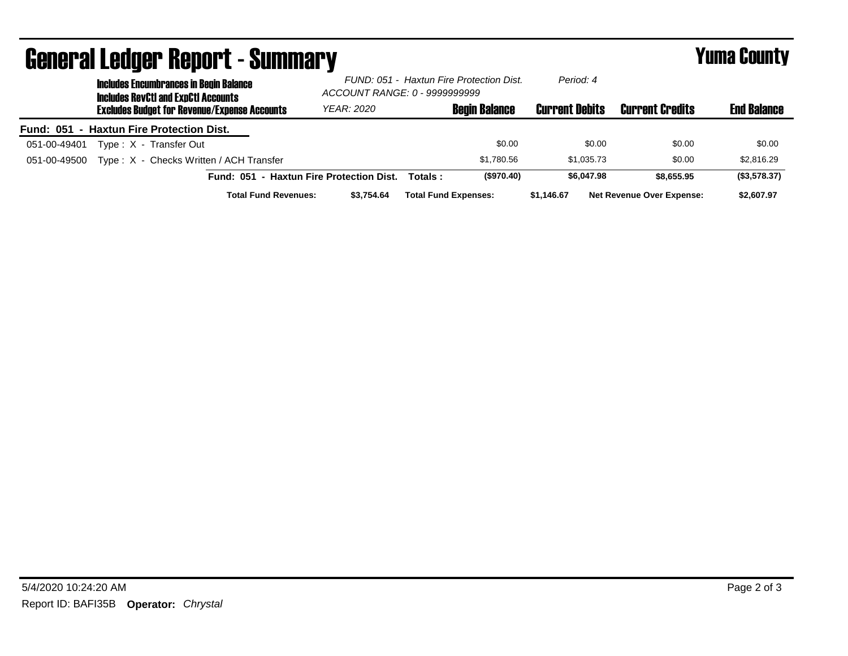| <b>General Ledger Report - Summary</b> |                                                     |                                                                                             |                             |                                                                           |         |                             | <b>Yuma County</b>    |                                  |                    |
|----------------------------------------|-----------------------------------------------------|---------------------------------------------------------------------------------------------|-----------------------------|---------------------------------------------------------------------------|---------|-----------------------------|-----------------------|----------------------------------|--------------------|
|                                        |                                                     | <b>Includes Encumbrances in Begin Balance</b><br><b>Includes RevCtI and ExnCtI Accounts</b> |                             | FUND: 051 - Haxtun Fire Protection Dist.<br>ACCOUNT RANGE: 0 - 9999999999 |         | Period: 4                   |                       |                                  |                    |
|                                        | <b>Excludes Budget for Revenue/Expense Accounts</b> |                                                                                             |                             | <b>YEAR: 2020</b>                                                         |         | <b>Begin Balance</b>        | <b>Current Debits</b> | <b>Current Credits</b>           | <b>End Balance</b> |
|                                        |                                                     | Fund: 051 - Haxtun Fire Protection Dist.                                                    |                             |                                                                           |         |                             |                       |                                  |                    |
| 051-00-49401                           |                                                     | Type: X - Transfer Out                                                                      |                             |                                                                           |         | \$0.00                      | \$0.00                | \$0.00                           | \$0.00             |
| 051-00-49500                           |                                                     | Type: X - Checks Written / ACH Transfer                                                     |                             |                                                                           |         | \$1.780.56                  | \$1.035.73            | \$0.00                           | \$2,816.29         |
|                                        |                                                     |                                                                                             |                             | Fund: 051 - Haxtun Fire Protection Dist.                                  | Totals: | (\$970.40)                  | \$6,047.98            | \$8.655.95                       | (\$3,578.37)       |
|                                        |                                                     |                                                                                             | <b>Total Fund Revenues:</b> | \$3.754.64                                                                |         | <b>Total Fund Expenses:</b> | \$1.146.67            | <b>Net Revenue Over Expense:</b> | \$2,607.97         |